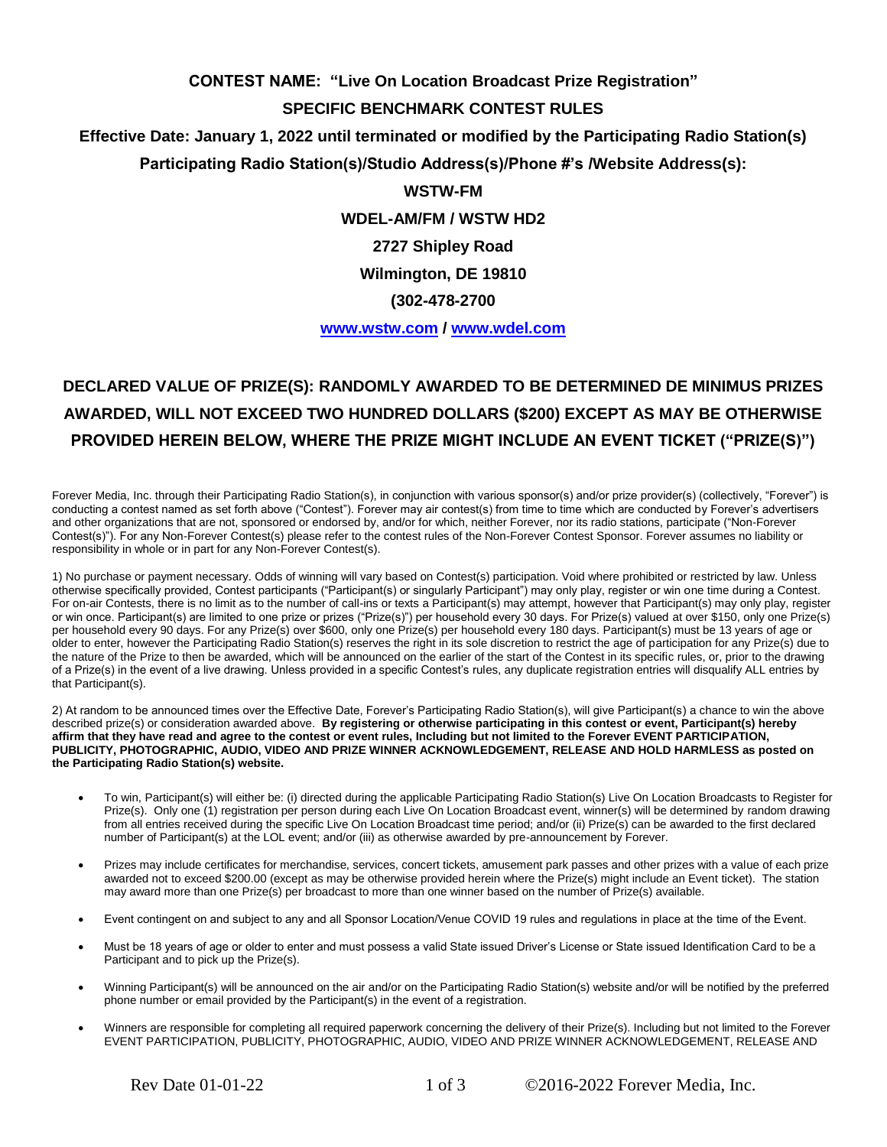## **CONTEST NAME: "Live On Location Broadcast Prize Registration"**

#### **SPECIFIC BENCHMARK CONTEST RULES**

**Effective Date: January 1, 2022 until terminated or modified by the Participating Radio Station(s)**

**Participating Radio Station(s)/Studio Address(s)/Phone #'s /Website Address(s):**

### **WSTW-FM**

**WDEL-AM/FM / WSTW HD2**

**2727 Shipley Road**

**Wilmington, DE 19810**

### **(302-478-2700**

**[www.wstw.com](http://www.wstw.com/) / [www.wdel.com](http://www.wdel.com/)**

# **DECLARED VALUE OF PRIZE(S): RANDOMLY AWARDED TO BE DETERMINED DE MINIMUS PRIZES AWARDED, WILL NOT EXCEED TWO HUNDRED DOLLARS (\$200) EXCEPT AS MAY BE OTHERWISE PROVIDED HEREIN BELOW, WHERE THE PRIZE MIGHT INCLUDE AN EVENT TICKET ("PRIZE(S)")**

Forever Media, Inc. through their Participating Radio Station(s), in conjunction with various sponsor(s) and/or prize provider(s) (collectively, "Forever") is conducting a contest named as set forth above ("Contest"). Forever may air contest(s) from time to time which are conducted by Forever's advertisers and other organizations that are not, sponsored or endorsed by, and/or for which, neither Forever, nor its radio stations, participate ("Non-Forever Contest(s)"). For any Non-Forever Contest(s) please refer to the contest rules of the Non-Forever Contest Sponsor. Forever assumes no liability or responsibility in whole or in part for any Non-Forever Contest(s).

1) No purchase or payment necessary. Odds of winning will vary based on Contest(s) participation. Void where prohibited or restricted by law. Unless otherwise specifically provided, Contest participants ("Participant(s) or singularly Participant") may only play, register or win one time during a Contest. For on-air Contests, there is no limit as to the number of call-ins or texts a Participant(s) may attempt, however that Participant(s) may only play, register or win once. Participant(s) are limited to one prize or prizes ("Prize(s)") per household every 30 days. For Prize(s) valued at over \$150, only one Prize(s) per household every 90 days. For any Prize(s) over \$600, only one Prize(s) per household every 180 days. Participant(s) must be 13 years of age or older to enter, however the Participating Radio Station(s) reserves the right in its sole discretion to restrict the age of participation for any Prize(s) due to the nature of the Prize to then be awarded, which will be announced on the earlier of the start of the Contest in its specific rules, or, prior to the drawing of a Prize(s) in the event of a live drawing. Unless provided in a specific Contest's rules, any duplicate registration entries will disqualify ALL entries by that Participant(s).

2) At random to be announced times over the Effective Date, Forever's Participating Radio Station(s), will give Participant(s) a chance to win the above described prize(s) or consideration awarded above. **By registering or otherwise participating in this contest or event, Participant(s) hereby affirm that they have read and agree to the contest or event rules, Including but not limited to the Forever EVENT PARTICIPATION, PUBLICITY, PHOTOGRAPHIC, AUDIO, VIDEO AND PRIZE WINNER ACKNOWLEDGEMENT, RELEASE AND HOLD HARMLESS as posted on the Participating Radio Station(s) website.**

- To win, Participant(s) will either be: (i) directed during the applicable Participating Radio Station(s) Live On Location Broadcasts to Register for Prize(s). Only one (1) registration per person during each Live On Location Broadcast event, winner(s) will be determined by random drawing from all entries received during the specific Live On Location Broadcast time period; and/or (ii) Prize(s) can be awarded to the first declared number of Participant(s) at the LOL event; and/or (iii) as otherwise awarded by pre-announcement by Forever.
- Prizes may include certificates for merchandise, services, concert tickets, amusement park passes and other prizes with a value of each prize awarded not to exceed \$200.00 (except as may be otherwise provided herein where the Prize(s) might include an Event ticket). The station may award more than one Prize(s) per broadcast to more than one winner based on the number of Prize(s) available.
- Event contingent on and subject to any and all Sponsor Location/Venue COVID 19 rules and regulations in place at the time of the Event.
- Must be 18 years of age or older to enter and must possess a valid State issued Driver's License or State issued Identification Card to be a Participant and to pick up the Prize(s).
- Winning Participant(s) will be announced on the air and/or on the Participating Radio Station(s) website and/or will be notified by the preferred phone number or email provided by the Participant(s) in the event of a registration.
- Winners are responsible for completing all required paperwork concerning the delivery of their Prize(s). Including but not limited to the Forever EVENT PARTICIPATION, PUBLICITY, PHOTOGRAPHIC, AUDIO, VIDEO AND PRIZE WINNER ACKNOWLEDGEMENT, RELEASE AND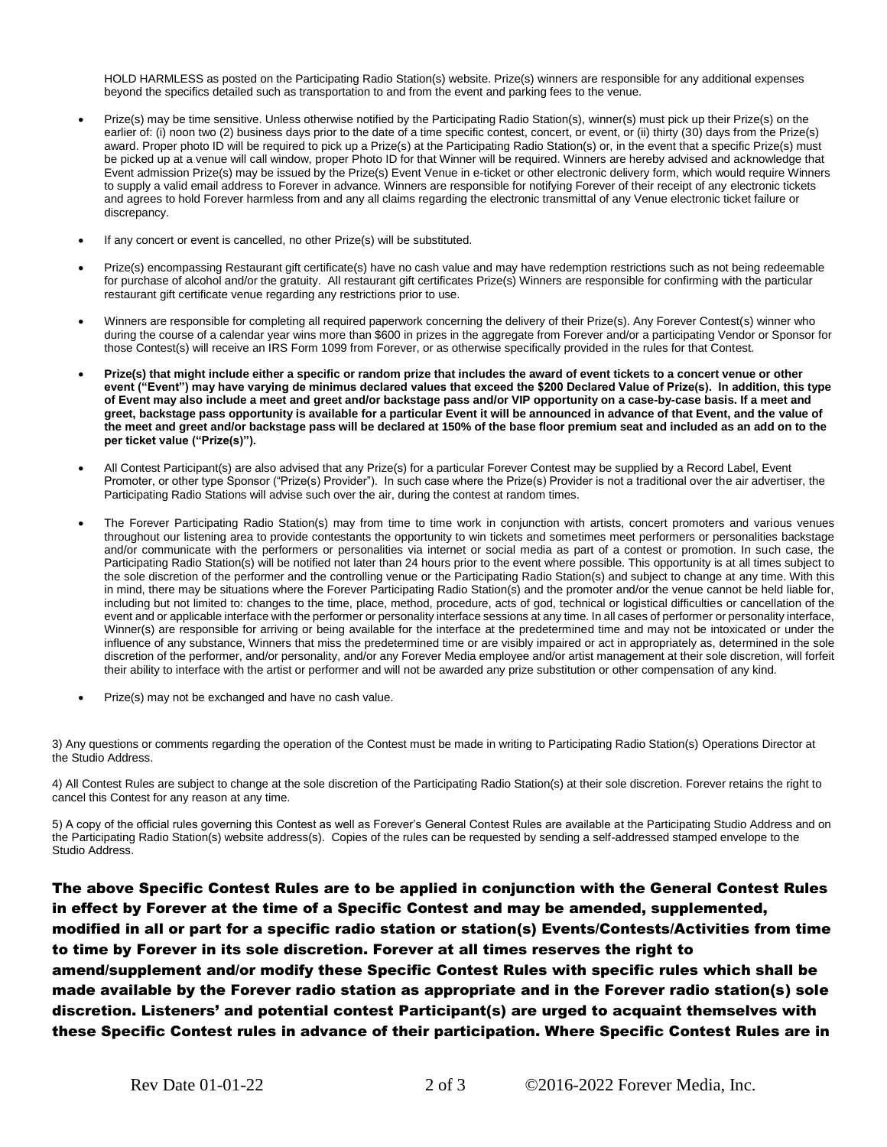HOLD HARMLESS as posted on the Participating Radio Station(s) website. Prize(s) winners are responsible for any additional expenses beyond the specifics detailed such as transportation to and from the event and parking fees to the venue.

- Prize(s) may be time sensitive. Unless otherwise notified by the Participating Radio Station(s), winner(s) must pick up their Prize(s) on the earlier of: (i) noon two (2) business days prior to the date of a time specific contest, concert, or event, or (ii) thirty (30) days from the Prize(s) award. Proper photo ID will be required to pick up a Prize(s) at the Participating Radio Station(s) or, in the event that a specific Prize(s) must be picked up at a venue will call window, proper Photo ID for that Winner will be required. Winners are hereby advised and acknowledge that Event admission Prize(s) may be issued by the Prize(s) Event Venue in e-ticket or other electronic delivery form, which would require Winners to supply a valid email address to Forever in advance. Winners are responsible for notifying Forever of their receipt of any electronic tickets and agrees to hold Forever harmless from and any all claims regarding the electronic transmittal of any Venue electronic ticket failure or discrepancy.
- If any concert or event is cancelled, no other Prize(s) will be substituted.
- Prize(s) encompassing Restaurant gift certificate(s) have no cash value and may have redemption restrictions such as not being redeemable for purchase of alcohol and/or the gratuity. All restaurant gift certificates Prize(s) Winners are responsible for confirming with the particular restaurant gift certificate venue regarding any restrictions prior to use.
- Winners are responsible for completing all required paperwork concerning the delivery of their Prize(s). Any Forever Contest(s) winner who during the course of a calendar year wins more than \$600 in prizes in the aggregate from Forever and/or a participating Vendor or Sponsor for those Contest(s) will receive an IRS Form 1099 from Forever, or as otherwise specifically provided in the rules for that Contest.
- **Prize(s) that might include either a specific or random prize that includes the award of event tickets to a concert venue or other event ("Event") may have varying de minimus declared values that exceed the \$200 Declared Value of Prize(s). In addition, this type of Event may also include a meet and greet and/or backstage pass and/or VIP opportunity on a case-by-case basis. If a meet and greet, backstage pass opportunity is available for a particular Event it will be announced in advance of that Event, and the value of the meet and greet and/or backstage pass will be declared at 150% of the base floor premium seat and included as an add on to the per ticket value ("Prize(s)").**
- All Contest Participant(s) are also advised that any Prize(s) for a particular Forever Contest may be supplied by a Record Label, Event Promoter, or other type Sponsor ("Prize(s) Provider"). In such case where the Prize(s) Provider is not a traditional over the air advertiser, the Participating Radio Stations will advise such over the air, during the contest at random times.
- The Forever Participating Radio Station(s) may from time to time work in conjunction with artists, concert promoters and various venues throughout our listening area to provide contestants the opportunity to win tickets and sometimes meet performers or personalities backstage and/or communicate with the performers or personalities via internet or social media as part of a contest or promotion. In such case, the Participating Radio Station(s) will be notified not later than 24 hours prior to the event where possible. This opportunity is at all times subject to the sole discretion of the performer and the controlling venue or the Participating Radio Station(s) and subject to change at any time. With this in mind, there may be situations where the Forever Participating Radio Station(s) and the promoter and/or the venue cannot be held liable for, including but not limited to: changes to the time, place, method, procedure, acts of god, technical or logistical difficulties or cancellation of the event and or applicable interface with the performer or personality interface sessions at any time. In all cases of performer or personality interface, Winner(s) are responsible for arriving or being available for the interface at the predetermined time and may not be intoxicated or under the influence of any substance, Winners that miss the predetermined time or are visibly impaired or act in appropriately as, determined in the sole discretion of the performer, and/or personality, and/or any Forever Media employee and/or artist management at their sole discretion, will forfeit their ability to interface with the artist or performer and will not be awarded any prize substitution or other compensation of any kind.
- Prize(s) may not be exchanged and have no cash value.

3) Any questions or comments regarding the operation of the Contest must be made in writing to Participating Radio Station(s) Operations Director at the Studio Address.

4) All Contest Rules are subject to change at the sole discretion of the Participating Radio Station(s) at their sole discretion. Forever retains the right to cancel this Contest for any reason at any time.

5) A copy of the official rules governing this Contest as well as Forever's General Contest Rules are available at the Participating Studio Address and on the Participating Radio Station(s) website address(s). Copies of the rules can be requested by sending a self-addressed stamped envelope to the Studio Address.

The above Specific Contest Rules are to be applied in conjunction with the General Contest Rules in effect by Forever at the time of a Specific Contest and may be amended, supplemented, modified in all or part for a specific radio station or station(s) Events/Contests/Activities from time to time by Forever in its sole discretion. Forever at all times reserves the right to amend/supplement and/or modify these Specific Contest Rules with specific rules which shall be made available by the Forever radio station as appropriate and in the Forever radio station(s) sole discretion. Listeners' and potential contest Participant(s) are urged to acquaint themselves with these Specific Contest rules in advance of their participation. Where Specific Contest Rules are in